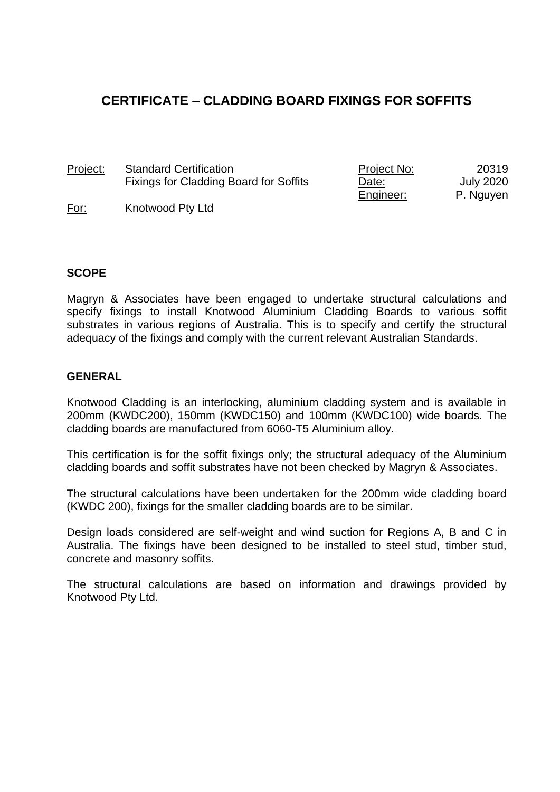# **CERTIFICATE – CLADDING BOARD FIXINGS FOR SOFFITS**

Project: Standard Certification Fixings for Cladding Board for Soffits Project No: Date: Engineer: 20319 July 2020 P. Nguyen

For: Knotwood Pty Ltd

#### **SCOPE**

Magryn & Associates have been engaged to undertake structural calculations and specify fixings to install Knotwood Aluminium Cladding Boards to various soffit substrates in various regions of Australia. This is to specify and certify the structural adequacy of the fixings and comply with the current relevant Australian Standards.

#### **GENERAL**

Knotwood Cladding is an interlocking, aluminium cladding system and is available in 200mm (KWDC200), 150mm (KWDC150) and 100mm (KWDC100) wide boards. The cladding boards are manufactured from 6060-T5 Aluminium alloy.

This certification is for the soffit fixings only; the structural adequacy of the Aluminium cladding boards and soffit substrates have not been checked by Magryn & Associates.

The structural calculations have been undertaken for the 200mm wide cladding board (KWDC 200), fixings for the smaller cladding boards are to be similar.

Design loads considered are self-weight and wind suction for Regions A, B and C in Australia. The fixings have been designed to be installed to steel stud, timber stud, concrete and masonry soffits.

The structural calculations are based on information and drawings provided by Knotwood Pty Ltd.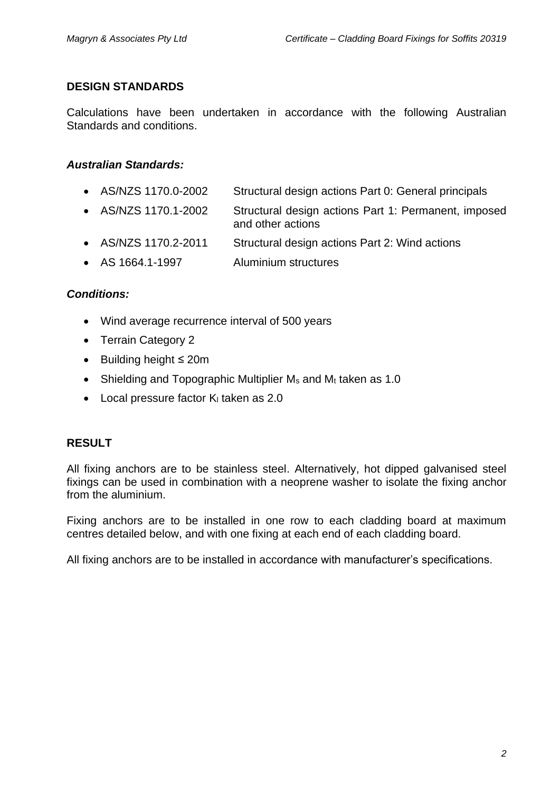#### **DESIGN STANDARDS**

Calculations have been undertaken in accordance with the following Australian Standards and conditions.

# *Australian Standards:*

- AS/NZS 1170.0-2002 Structural design actions Part 0: General principals
- AS/NZS 1170.1-2002 Structural design actions Part 1: Permanent, imposed and other actions
- AS/NZS 1170.2-2011 Structural design actions Part 2: Wind actions
- AS 1664.1-1997 Aluminium structures

# *Conditions:*

- Wind average recurrence interval of 500 years
- Terrain Category 2
- Building height ≤ 20m
- Shielding and Topographic Multiplier  $M_s$  and  $M_t$  taken as 1.0
- $\bullet$  Local pressure factor K<sub>i</sub> taken as 2.0

# **RESULT**

All fixing anchors are to be stainless steel. Alternatively, hot dipped galvanised steel fixings can be used in combination with a neoprene washer to isolate the fixing anchor from the aluminium.

Fixing anchors are to be installed in one row to each cladding board at maximum centres detailed below, and with one fixing at each end of each cladding board.

All fixing anchors are to be installed in accordance with manufacturer's specifications.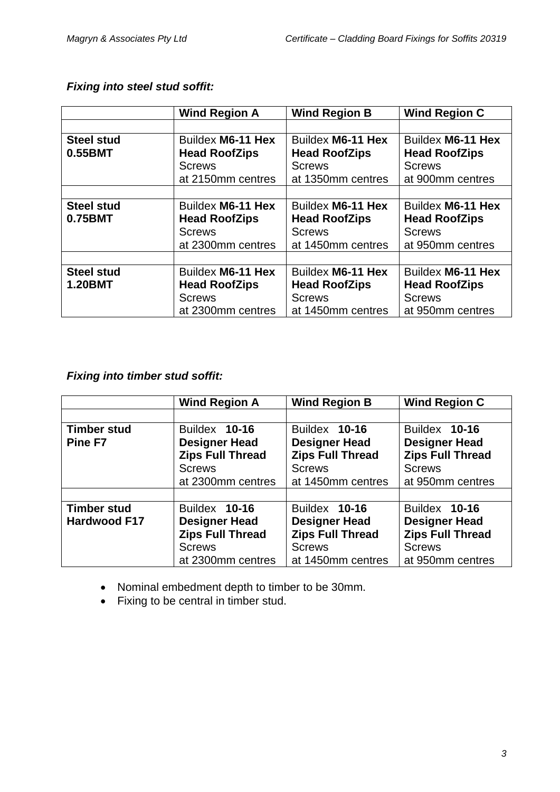|                                     | <b>Wind Region A</b>                                                            | <b>Wind Region B</b>                                                            | <b>Wind Region C</b>                                                           |
|-------------------------------------|---------------------------------------------------------------------------------|---------------------------------------------------------------------------------|--------------------------------------------------------------------------------|
|                                     |                                                                                 |                                                                                 |                                                                                |
| <b>Steel stud</b><br>0.55BMT        | Buildex M6-11 Hex<br><b>Head RoofZips</b><br><b>Screws</b><br>at 2150mm centres | Buildex M6-11 Hex<br><b>Head RoofZips</b><br><b>Screws</b><br>at 1350mm centres | Buildex M6-11 Hex<br><b>Head RoofZips</b><br><b>Screws</b><br>at 900mm centres |
|                                     |                                                                                 |                                                                                 |                                                                                |
| <b>Steel stud</b><br>0.75BMT        | Buildex M6-11 Hex<br><b>Head RoofZips</b><br><b>Screws</b><br>at 2300mm centres | Buildex M6-11 Hex<br><b>Head RoofZips</b><br><b>Screws</b><br>at 1450mm centres | Buildex M6-11 Hex<br><b>Head RoofZips</b><br><b>Screws</b><br>at 950mm centres |
|                                     |                                                                                 |                                                                                 |                                                                                |
| <b>Steel stud</b><br><b>1.20BMT</b> | Buildex M6-11 Hex<br><b>Head RoofZips</b><br><b>Screws</b><br>at 2300mm centres | Buildex M6-11 Hex<br><b>Head RoofZips</b><br><b>Screws</b><br>at 1450mm centres | Buildex M6-11 Hex<br><b>Head RoofZips</b><br><b>Screws</b><br>at 950mm centres |

# *Fixing into steel stud soffit:*

# *Fixing into timber stud soffit:*

|                     | <b>Wind Region A</b>                            | <b>Wind Region B</b>                            | <b>Wind Region C</b>                            |
|---------------------|-------------------------------------------------|-------------------------------------------------|-------------------------------------------------|
|                     |                                                 |                                                 |                                                 |
| <b>Timber stud</b>  | Buildex 10-16                                   | Buildex 10-16                                   | Buildex 10-16                                   |
| Pine F7             | <b>Designer Head</b><br><b>Zips Full Thread</b> | <b>Designer Head</b><br><b>Zips Full Thread</b> | <b>Designer Head</b><br><b>Zips Full Thread</b> |
|                     | <b>Screws</b>                                   | <b>Screws</b>                                   | <b>Screws</b>                                   |
|                     | at 2300mm centres                               | at 1450mm centres                               | at 950mm centres                                |
|                     |                                                 |                                                 |                                                 |
| <b>Timber stud</b>  | Buildex 10-16                                   | Buildex 10-16                                   | Buildex 10-16                                   |
| <b>Hardwood F17</b> | <b>Designer Head</b>                            | <b>Designer Head</b>                            | <b>Designer Head</b>                            |
|                     | <b>Zips Full Thread</b>                         | <b>Zips Full Thread</b>                         | <b>Zips Full Thread</b>                         |
|                     | <b>Screws</b>                                   | <b>Screws</b>                                   | <b>Screws</b>                                   |
|                     | at 2300mm centres                               | at 1450mm centres                               | at 950mm centres                                |

- Nominal embedment depth to timber to be 30mm.
- Fixing to be central in timber stud.